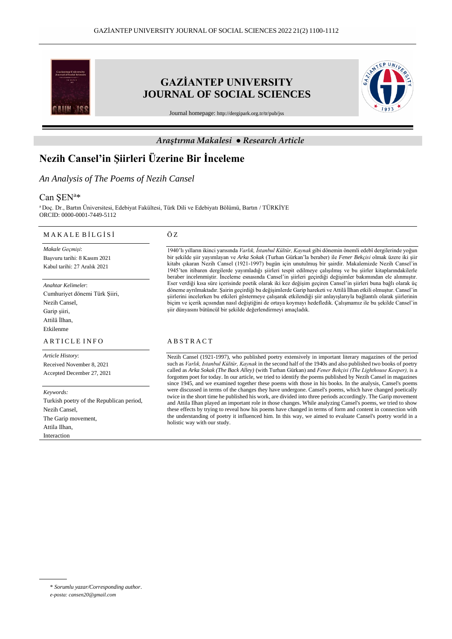

# **GAZİANTEP UNIVERSITY JOURNAL OF SOCIAL SCIENCES**



Journal homepage: <http://dergipark.org.tr/tr/pub/jss>

### *Araştırma Makalesi ● Research Article*

# **Nezih Cansel'in Şiirleri Üzerine Bir İnceleme**

## *An Analysis of The Poems of Nezih Cansel*

# Can ŞEN<sup>a\*</sup>

<sup>a</sup>Doç. Dr., Bartın Üniversitesi, Edebiyat Fakültesi, Türk Dili ve Edebiyatı Bölümü, Bartın / TÜRKİYE ORCID: 0000-0001-7449-5112

#### M A K A L E B İ L G İ S İ

*Makale Geçmişi*: Başvuru tarihi: 8 Kasım 2021 Kabul tarihi: 27 Aralık 2021

*Anahtar Kelimeler*: Cumhuriyet dönemi Türk Şiiri, Nezih Cansel, Garip şiiri, Attilâ İlhan, Etkilenme

#### A R T I C L E I N F O

*Article History*: Received November 8, 2021 Accepted December 27, 2021

*Keywords:* Turkish poetry of the Republican period, Nezih Cansel, The Garip movement, Attila Ilhan, Interaction

#### Ö Z

1940'lı yılların ikinci yarısında *Varlık, İstanbul Kültür, Kaynak* gibi dönemin önemli edebî dergilerinde yoğun bir şekilde şiir yayımlayan ve *Arka Sokak* (Turhan Gürkan'la beraber) ile *Fener Bekçisi* olmak üzere iki şiir kitabı çıkaran Nezih Cansel (1921-1997) bugün için unutulmuş bir şairdir. Makalemizde Nezih Cansel'in 1945'ten itibaren dergilerde yayımladığı şiirleri tespit edilmeye çalışılmış ve bu şiirler kitaplarındakilerle beraber incelenmiştir. İnceleme esnasında Cansel'in şiirleri geçirdiği değişimler bakımından ele alınmıştır. Eser verdiği kısa süre içerisinde poetik olarak iki kez değişim geçiren Cansel'in şiirleri buna bağlı olarak üç döneme ayrılmaktadır. Şairin geçirdiği bu değişimlerde Garip hareketi ve Attilâ İlhan etkili olmuştur. Cansel'in şiirlerini incelerken bu etkileri göstermeye çalışarak etkilendiği şiir anlayışlarıyla bağlantılı olarak şiirlerinin biçim ve içerik açısından nasıl değiştiğini de ortaya koymayı hedefledik. Çalışmamız ile bu şekilde Cansel'in şiir dünyasını bütüncül bir şekilde değerlendirmeyi amaçladık.

#### A B S T R A C T

Nezih Cansel (1921-1997), who published poetry extensively in important literary magazines of the period such as *Varlık, Istanbul Kültür, Kaynak* in the second half of the 1940s and also published two books of poetry called as *Arka Sokak (The Back Alley)* (with Turhan Gürkan) and *Fener Bekçisi (The Lighthouse Keeper),* is a forgotten poet for today. In our article, we tried to identify the poems published by Nezih Cansel in magazines since 1945, and we examined together these poems with those in his books. In the analysis, Cansel's poems were discussed in terms of the changes they have undergone. Cansel's poems, which have changed poetically twice in the short time he published his work, are divided into three periods accordingly. The Garip movement and Attila Ilhan played an important role in those changes. While analyzing Cansel's poems, we tried to show these effects by trying to reveal how his poems have changed in terms of form and content in connection with the understanding of poetry it influenced him. In this way, we aimed to evaluate Cansel's poetry world in a holistic way with our study.

<sup>\*</sup> *Sorumlu yazar/Corresponding author*.

*e-posta: cansen20@gmail.com*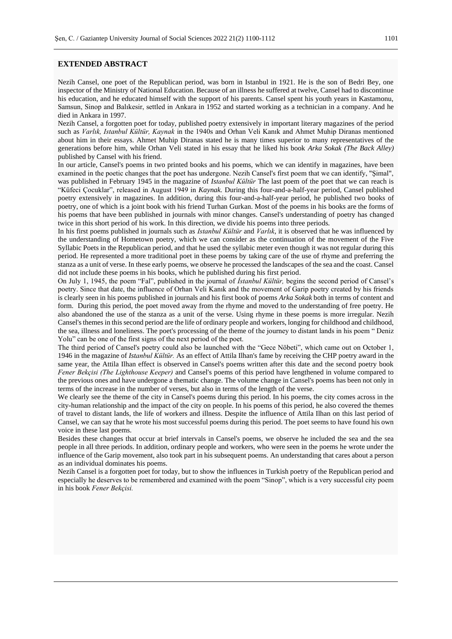### **EXTENDED ABSTRACT**

Nezih Cansel, one poet of the Republican period, was born in Istanbul in 1921. He is the son of Bedri Bey, one inspector of the Ministry of National Education. Because of an illness he suffered at twelve, Cansel had to discontinue his education, and he educated himself with the support of his parents. Cansel spent his youth years in Kastamonu, Samsun, Sinop and Balıkesir, settled in Ankara in 1952 and started working as a technician in a company. And he died in Ankara in 1997.

Nezih Cansel, a forgotten poet for today, published poetry extensively in important literary magazines of the period such as *Varlık, Istanbul Kültür, Kaynak* in the 1940s and Orhan Veli Kanık and Ahmet Muhip Diranas mentioned about him in their essays. Ahmet Muhip Diranas stated he is many times superior to many representatives of the generations before him, while Orhan Veli stated in his essay that he liked his book *Arka Sokak (The Back Alley)* published by Cansel with his friend.

In our article, Cansel's poems in two printed books and his poems, which we can identify in magazines, have been examined in the poetic changes that the poet has undergone. Nezih Cansel's first poem that we can identify, "Şimal", was published in February 1945 in the magazine of *Istanbul Kültür* The last poem of the poet that we can reach is "Küfeci Çocuklar", released in August 1949 in *Kaynak.* During this four-and-a-half-year period, Cansel published poetry extensively in magazines. In addition, during this four-and-a-half-year period, he published two books of poetry, one of which is a joint book with his friend Turhan Gurkan. Most of the poems in his books are the forms of his poems that have been published in journals with minor changes. Cansel's understanding of poetry has changed twice in this short period of his work. In this direction, we divide his poems into three periods.

In his first poems published in journals such as *Istanbul Kültür* and *Varlık*, it is observed that he was influenced by the understanding of Hometown poetry, which we can consider as the continuation of the movement of the Five Syllabic Poets in the Republican period, and that he used the syllabic meter even though it was not regular during this period. He represented a more traditional poet in these poems by taking care of the use of rhyme and preferring the stanza as a unit of verse. In these early poems, we observe he processed the landscapes of the sea and the coast. Cansel did not include these poems in his books, which he published during his first period.

On July 1, 1945, the poem "Fal", published in the journal of *İstanbul Kültür,* begins the second period of Cansel's poetry. Since that date, the influence of Orhan Veli Kanık and the movement of Garip poetry created by his friends is clearly seen in his poems published in journals and his first book of poems *Arka Sokak* both in terms of content and form. During this period, the poet moved away from the rhyme and moved to the understanding of free poetry. He also abandoned the use of the stanza as a unit of the verse. Using rhyme in these poems is more irregular. Nezih Cansel's themes in this second period are the life of ordinary people and workers, longing for childhood and childhood, the sea, illness and loneliness. The poet's processing of the theme of the journey to distant lands in his poem " Deniz Yolu" can be one of the first signs of the next period of the poet.

The third period of Cansel's poetry could also be launched with the "Gece Nöbeti", which came out on October 1, 1946 in the magazine of *Istanbul Kültür.* As an effect of Attila Ilhan's fame by receiving the CHP poetry award in the same year, the Attila Ilhan effect is observed in Cansel's poems written after this date and the second poetry book *Fener Bekçisi (The Lighthouse Keeper)* and Cansel's poems of this period have lengthened in volume compared to the previous ones and have undergone a thematic change. The volume change in Cansel's poems has been not only in terms of the increase in the number of verses, but also in terms of the length of the verse.

We clearly see the theme of the city in Cansel's poems during this period. In his poems, the city comes across in the city-human relationship and the impact of the city on people. In his poems of this period, he also covered the themes of travel to distant lands, the life of workers and illness. Despite the influence of Attila Ilhan on this last period of Cansel, we can say that he wrote his most successful poems during this period. The poet seems to have found his own voice in these last poems.

Besides these changes that occur at brief intervals in Cansel's poems, we observe he included the sea and the sea people in all three periods. In addition, ordinary people and workers, who were seen in the poems he wrote under the influence of the Garip movement, also took part in his subsequent poems. An understanding that cares about a person as an individual dominates his poems.

Nezih Cansel is a forgotten poet for today, but to show the influences in Turkish poetry of the Republican period and especially he deserves to be remembered and examined with the poem "Sinop", which is a very successful city poem in his book *Fener Bekçisi.*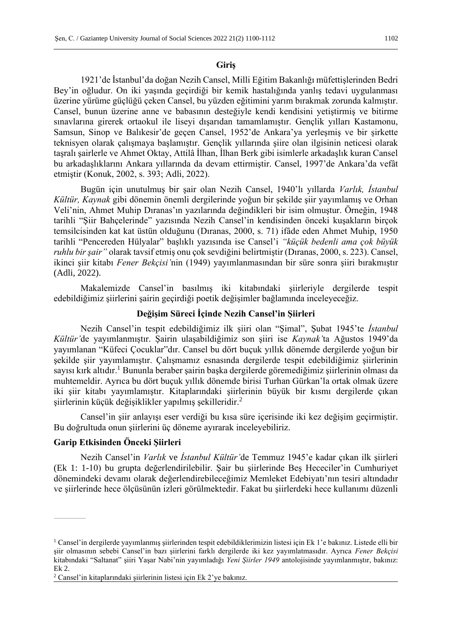## **Giriş**

1921'de İstanbul'da doğan Nezih Cansel, Milli Eğitim Bakanlığı müfettişlerinden Bedri Bey'in oğludur. On iki yaşında geçirdiği bir kemik hastalığında yanlış tedavi uygulanması üzerine yürüme güçlüğü çeken Cansel, bu yüzden eğitimini yarım bırakmak zorunda kalmıştır. Cansel, bunun üzerine anne ve babasının desteğiyle kendi kendisini yetiştirmiş ve bitirme sınavlarına girerek ortaokul ile liseyi dışarıdan tamamlamıştır. Gençlik yılları Kastamonu, Samsun, Sinop ve Balıkesir'de geçen Cansel, 1952'de Ankara'ya yerleşmiş ve bir şirkette teknisyen olarak çalışmaya başlamıştır. Gençlik yıllarında şiire olan ilgisinin neticesi olarak taşralı şairlerle ve Ahmet Oktay, Attilâ İlhan, İlhan Berk gibi isimlerle arkadaşlık kuran Cansel bu arkadaşlıklarını Ankara yıllarında da devam ettirmiştir. Cansel, 1997'de Ankara'da vefât etmiştir (Konuk, 2002, s. 393; Adli, 2022).

Bugün için unutulmuş bir şair olan Nezih Cansel, 1940'lı yıllarda *Varlık, İstanbul Kültür, Kaynak* gibi dönemin önemli dergilerinde yoğun bir şekilde şiir yayımlamış ve Orhan Veli'nin, Ahmet Muhip Dıranas'ın yazılarında değindikleri bir isim olmuştur. Örneğin, 1948 tarihli "Şiir Bahçelerinde" yazısında Nezih Cansel'in kendisinden önceki kuşakların birçok temsilcisinden kat kat üstün olduğunu (Dıranas, 2000, s. 71) ifâde eden Ahmet Muhip, 1950 tarihli "Pencereden Hülyalar" başlıklı yazısında ise Cansel'i *"küçük bedenli ama çok büyük ruhlu bir şair"* olarak tavsif etmiş onu çok sevdiğini belirtmiştir (Dıranas, 2000, s. 223). Cansel, ikinci şiir kitabı *Fener Bekçisi'*nin (1949) yayımlanmasından bir süre sonra şiiri bırakmıştır (Adli, 2022).

Makalemizde Cansel'in basılmış iki kitabındaki şiirleriyle dergilerde tespit edebildiğimiz şiirlerini şairin geçirdiği poetik değişimler bağlamında inceleyeceğiz.

# **Değişim Süreci İçinde Nezih Cansel'in Şiirleri**

Nezih Cansel'in tespit edebildiğimiz ilk şiiri olan "Şimal", Şubat 1945'te *İstanbul Kültür'*de yayımlanmıştır. Şairin ulaşabildiğimiz son şiiri ise *Kaynak'*ta Ağustos 1949'da yayımlanan "Küfeci Çocuklar"dır. Cansel bu dört buçuk yıllık dönemde dergilerde yoğun bir şekilde şiir yayımlamıştır. Çalışmamız esnasında dergilerde tespit edebildiğimiz şiirlerinin sayısı kırk altıdır.<sup>1</sup> Bununla beraber sairin başka dergilerde göremediğimiz şiirlerinin olması da muhtemeldir. Ayrıca bu dört buçuk yıllık dönemde birisi Turhan Gürkan'la ortak olmak üzere iki şiir kitabı yayımlamıştır. Kitaplarındaki şiirlerinin büyük bir kısmı dergilerde çıkan şiirlerinin küçük değişiklikler yapılmış şekilleridir.<sup>2</sup>

Cansel'in şiir anlayışı eser verdiği bu kısa süre içerisinde iki kez değişim geçirmiştir. Bu doğrultuda onun şiirlerini üç döneme ayırarak inceleyebiliriz.

## **Garip Etkisinden Önceki Şiirleri**

Nezih Cansel'in *Varlık* ve *İstanbul Kültür'*de Temmuz 1945'e kadar çıkan ilk şiirleri (Ek 1: 1-10) bu grupta değerlendirilebilir. Şair bu şiirlerinde Beş Hececiler'in Cumhuriyet dönemindeki devamı olarak değerlendirebileceğimiz Memleket Edebiyatı'nın tesiri altındadır ve şiirlerinde hece ölçüsünün izleri görülmektedir. Fakat bu şiirlerdeki hece kullanımı düzenli

 $1$  Cansel'in dergilerde yayımlanmış şiirlerinden tespit edebildiklerimizin listesi için Ek 1'e bakınız. Listede elli bir şiir olmasının sebebi Cansel'in bazı şiirlerini farklı dergilerde iki kez yayımlatmasıdır. Ayrıca *Fener Bekçisi*  kitabındaki "Saltanat" şiiri Yaşar Nabi'nin yayımladığı *Yeni Şiirler 1949* antolojisinde yayımlanmıştır, bakınız: Ek 2.

<sup>2</sup> Cansel'in kitaplarındaki şiirlerinin listesi için Ek 2'ye bakınız.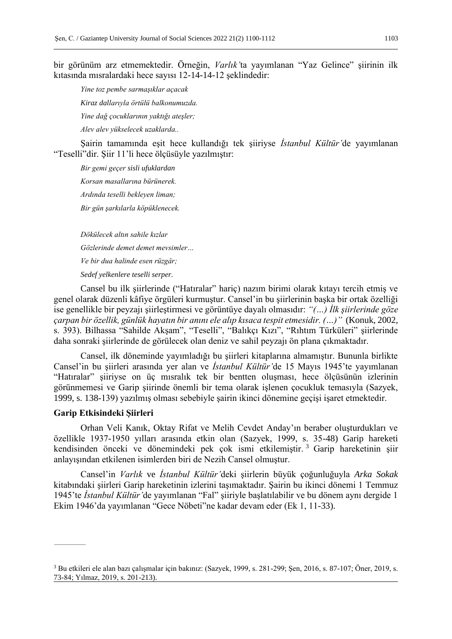bir görünüm arz etmemektedir. Örneğin, *Varlık'*ta yayımlanan "Yaz Gelince" şiirinin ilk kıtasında mısralardaki hece sayısı 12-14-14-12 şeklindedir:

*Yine toz pembe sarmaşıklar açacak Kiraz dallarıyla örtülü balkonumuzda. Yine dağ çocuklarının yaktığı ateşler; Alev alev yükselecek uzaklarda..*

Şairin tamamında eşit hece kullandığı tek şiiriyse *İstanbul Kültür'*de yayımlanan "Teselli"dir. Şiir 11'li hece ölçüsüyle yazılmıştır:

*Bir gemi geçer sisli ufuklardan Korsan masallarına bürünerek. Ardında teselli bekleyen liman; Bir gün şarkılarla köpüklenecek.*

*Dökülecek altın sahile kızlar Gözlerinde demet demet mevsimler… Ve bir dua halinde esen rüzgâr; Sedef yelkenlere teselli serper.*

Cansel bu ilk şiirlerinde ("Hatıralar" hariç) nazım birimi olarak kıtayı tercih etmiş ve genel olarak düzenli kâfiye örgüleri kurmuştur. Cansel'in bu şiirlerinin başka bir ortak özelliği ise genellikle bir peyzajı şiirleştirmesi ve görüntüye dayalı olmasıdır: *"(…) İlk şiirlerinde göze çarpan bir özellik, günlük hayatın bir anını ele alıp kısaca tespit etmesidir. (…)"* (Konuk, 2002, s. 393). Bilhassa "Sahilde Akşam", "Teselli", "Balıkçı Kızı", "Rıhtım Türküleri" şiirlerinde daha sonraki şiirlerinde de görülecek olan deniz ve sahil peyzajı ön plana çıkmaktadır.

Cansel, ilk döneminde yayımladığı bu şiirleri kitaplarına almamıştır. Bununla birlikte Cansel'in bu şiirleri arasında yer alan ve *İstanbul Kültür'*de 15 Mayıs 1945'te yayımlanan "Hatıralar" şiiriyse on üç mısralık tek bir bentten oluşması, hece ölçüsünün izlerinin görünmemesi ve Garip şiirinde önemli bir tema olarak işlenen çocukluk temasıyla (Sazyek, 1999, s. 138-139) yazılmış olması sebebiyle şairin ikinci dönemine geçişi işaret etmektedir.

## **Garip Etkisindeki Şiirleri**

Orhan Veli Kanık, Oktay Rifat ve Melih Cevdet Anday'ın beraber oluşturdukları ve özellikle 1937-1950 yılları arasında etkin olan (Sazyek, 1999, s. 35-48) Garip hareketi kendisinden önceki ve dönemindeki pek çok ismi etkilemiştir. <sup>3</sup> Garip hareketinin şiir anlayışından etkilenen isimlerden biri de Nezih Cansel olmuştur.

Cansel'in *Varlık* ve *İstanbul Kültür'*deki şiirlerin büyük çoğunluğuyla *Arka Sokak*  kitabındaki şiirleri Garip hareketinin izlerini taşımaktadır. Şairin bu ikinci dönemi 1 Temmuz 1945'te *İstanbul Kültür'*de yayımlanan "Fal" şiiriyle başlatılabilir ve bu dönem aynı dergide 1 Ekim 1946'da yayımlanan "Gece Nöbeti"ne kadar devam eder (Ek 1, 11-33).

<sup>3</sup> Bu etkileri ele alan bazı çalışmalar için bakınız: (Sazyek, 1999, s. 281-299; Şen, 2016, s. 87-107; Öner, 2019, s. 73-84; Yılmaz, 2019, s. 201-213).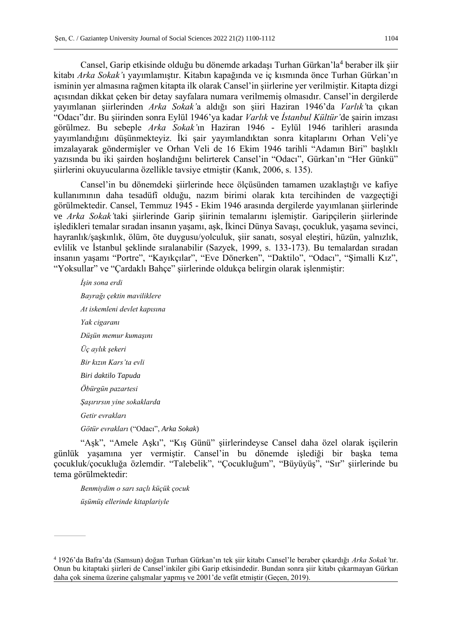Cansel, Garip etkisinde olduğu bu dönemde arkadaşı Turhan Gürkan'la<sup>4</sup> beraber ilk şiir kitabı *Arka Sokak'*ı yayımlamıştır. Kitabın kapağında ve iç kısmında önce Turhan Gürkan'ın isminin yer almasına rağmen kitapta ilk olarak Cansel'in şiirlerine yer verilmiştir. Kitapta dizgi açısından dikkat çeken bir detay sayfalara numara verilmemiş olmasıdır. Cansel'in dergilerde yayımlanan şiirlerinden *Arka Sokak'*a aldığı son şiiri Haziran 1946'da *Varlık'*ta çıkan "Odacı"dır. Bu şiirinden sonra Eylül 1946'ya kadar *Varlık* ve *İstanbul Kültür'*de şairin imzası görülmez. Bu sebeple *Arka Sokak'*ın Haziran 1946 - Eylül 1946 tarihleri arasında yayımlandığını düşünmekteyiz. İki şair yayımlandıktan sonra kitaplarını Orhan Veli'ye imzalayarak göndermişler ve Orhan Veli de 16 Ekim 1946 tarihli "Adamın Biri" başlıklı yazısında bu iki şairden hoşlandığını belirterek Cansel'in "Odacı", Gürkan'ın "Her Günkü" şiirlerini okuyucularına özellikle tavsiye etmiştir (Kanık, 2006, s. 135).

Cansel'in bu dönemdeki şiirlerinde hece ölçüsünden tamamen uzaklaştığı ve kafiye kullanımının daha tesadüfî olduğu, nazım birimi olarak kıta tercihinden de vazgeçtiği görülmektedir. Cansel, Temmuz 1945 - Ekim 1946 arasında dergilerde yayımlanan şiirlerinde ve *Arka Sokak'*taki şiirlerinde Garip şiirinin temalarını işlemiştir. Garipçilerin şiirlerinde işledikleri temalar sıradan insanın yaşamı, aşk, İkinci Dünya Savaşı, çocukluk, yaşama sevinci, hayranlık/şaşkınlık, ölüm, öte duygusu/yolculuk, şiir sanatı, sosyal eleştiri, hüzün, yalnızlık, evlilik ve İstanbul şeklinde sıralanabilir (Sazyek, 1999, s. 133-173). Bu temalardan sıradan insanın yaşamı "Portre", "Kayıkçılar", "Eve Dönerken", "Daktilo", "Odacı", "Şimalli Kız", "Yoksullar" ve "Çardaklı Bahçe" şiirlerinde oldukça belirgin olarak işlenmiştir:

*İşin sona erdi Bayrağı çektin maviliklere At iskemleni devlet kapısına Yak cigaranı Düşün memur kumaşını Üç aylık şekeri Bir kızın Kars'ta evli Biri daktilo Tapuda Öbürgün pazartesi Şaşırırsın yine sokaklarda Getir evrakları Götür evrakları* ("Odacı", *Arka Sokak*)

"Aşk", "Amele Aşkı", "Kış Günü" şiirlerindeyse Cansel daha özel olarak işçilerin günlük yaşamına yer vermiştir. Cansel'in bu dönemde işlediği bir başka tema çocukluk/çocukluğa özlemdir. "Talebelik", "Çocukluğum", "Büyüyüş", "Sır" şiirlerinde bu tema görülmektedir:

*Benmiydim o sarı saçlı küçük çocuk üşümüş ellerinde kitaplariyle* 

<sup>4</sup> 1926'da Bafra'da (Samsun) doğan Turhan Gürkan'ın tek şiir kitabı Cansel'le beraber çıkardığı *Arka Sokak'*tır. Onun bu kitaptaki şiirleri de Cansel'inkiler gibi Garip etkisindedir. Bundan sonra şiir kitabı çıkarmayan Gürkan daha çok sinema üzerine çalışmalar yapmış ve 2001'de vefât etmiştir (Geçen, 2019).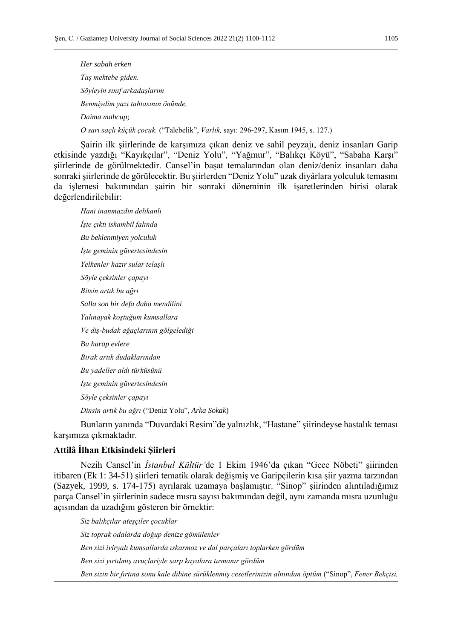*Her sabah erken Taş mektebe giden. Söyleyin sınıf arkadaşlarım Benmiydim yazı tahtasının önünde, Daima mahcup; O sarı saçlı küçük çocuk.* ("Talebelik", *Varlık,* sayı: 296-297, Kasım 1945, s. 127.)

Şairin ilk şiirlerinde de karşımıza çıkan deniz ve sahil peyzajı, deniz insanları Garip etkisinde yazdığı "Kayıkçılar", "Deniz Yolu", "Yağmur", "Balıkçı Köyü", "Sabaha Karşı" şiirlerinde de görülmektedir. Cansel'in başat temalarından olan deniz/deniz insanları daha sonraki şiirlerinde de görülecektir. Bu şiirlerden "Deniz Yolu" uzak diyârlara yolculuk temasını da işlemesi bakımından şairin bir sonraki döneminin ilk işaretlerinden birisi olarak değerlendirilebilir:

*Hani inanmazdın delikanlı İşte çıktı iskambil falında Bu beklenmiyen yolculuk İşte geminin güvertesindesin Yelkenler hazır sular telaşlı Söyle çeksinler çapayı Bitsin artık bu ağrı Salla son bir defa daha mendilini Yalınayak koştuğum kumsallara Ve diş-budak ağaçlarının gölgelediği Bu harap evlere Bırak artık dudaklarından Bu yadeller aldı türküsünü İşte geminin güvertesindesin Söyle çeksinler çapayı Dinsin artık bu ağrı* ("Deniz Yolu", *Arka Sokak*)

Bunların yanında "Duvardaki Resim"de yalnızlık, "Hastane" şiirindeyse hastalık teması karşımıza çıkmaktadır.

# **Attilâ İlhan Etkisindeki Şiirleri**

Nezih Cansel'in *İstanbul Kültür'*de 1 Ekim 1946'da çıkan "Gece Nöbeti" şiirinden itibaren (Ek 1: 34-51) şiirleri tematik olarak değişmiş ve Garipçilerin kısa şiir yazma tarzından (Sazyek, 1999, s. 174-175) ayrılarak uzamaya başlamıştır. "Sinop" şiirinden alıntıladığımız parça Cansel'in şiirlerinin sadece mısra sayısı bakımından değil, aynı zamanda mısra uzunluğu açısından da uzadığını gösteren bir örnektir:

*Siz balıkçılar ateşçiler çocuklar Siz toprak odalarda doğup denize gömülenler Ben sizi iviryalı kumsallarda ıskarmoz ve dal parçaları toplarken gördüm Ben sizi yırtılmış avuçlariyle sarp kayalara tırmanır gördüm Ben sizin bir fırtına sonu kale dibine sürüklenmiş cesetlerinizin alnından öptüm* ("Sinop", *Fener Bekçisi,*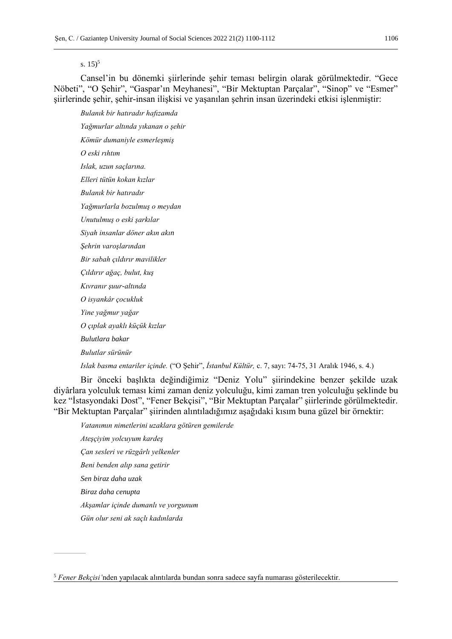s.  $15)^5$ 

Cansel'in bu dönemki şiirlerinde şehir teması belirgin olarak görülmektedir. "Gece Nöbeti", "O Şehir", "Gaspar'ın Meyhanesi", "Bir Mektuptan Parçalar", "Sinop" ve "Esmer" şiirlerinde şehir, şehir-insan ilişkisi ve yaşanılan şehrin insan üzerindeki etkisi işlenmiştir:

*Bulanık bir hatıradır hafızamda Yağmurlar altında yıkanan o şehir Kömür dumaniyle esmerleşmiş O eski rıhtım Islak, uzun saçlarına. Elleri tütün kokan kızlar Bulanık bir hatıradır Yağmurlarla bozulmuş o meydan Unutulmuş o eski şarkılar Siyah insanlar döner akın akın Şehrin varoşlarından Bir sabah çıldırır mavilikler Çıldırır ağaç, bulut, kuş Kıvranır şuur-altında O isyankâr çocukluk Yine yağmur yağar O çıplak ayaklı küçük kızlar Bulutlara bakar Bulutlar sürünür Islak basma entariler içinde.* ("O Şehir", *İstanbul Kültür,* c. 7, sayı: 74-75, 31 Aralık 1946, s. 4.)

Bir önceki başlıkta değindiğimiz "Deniz Yolu" şiirindekine benzer şekilde uzak diyârlara yolculuk teması kimi zaman deniz yolculuğu, kimi zaman tren yolculuğu şeklinde bu kez "İstasyondaki Dost", "Fener Bekçisi", "Bir Mektuptan Parçalar" şiirlerinde görülmektedir. "Bir Mektuptan Parçalar" şiirinden alıntıladığımız aşağıdaki kısım buna güzel bir örnektir:

*Vatanımın nimetlerini uzaklara götüren gemilerde* 

*Ateşçiyim yolcuyum kardeş Çan sesleri ve rüzgârlı yelkenler Beni benden alıp sana getirir Sen biraz daha uzak Biraz daha cenupta Akşamlar içinde dumanlı ve yorgunum Gün olur seni ak saçlı kadınlarda* 

<sup>5</sup> *Fener Bekçisi'*nden yapılacak alıntılarda bundan sonra sadece sayfa numarası gösterilecektir.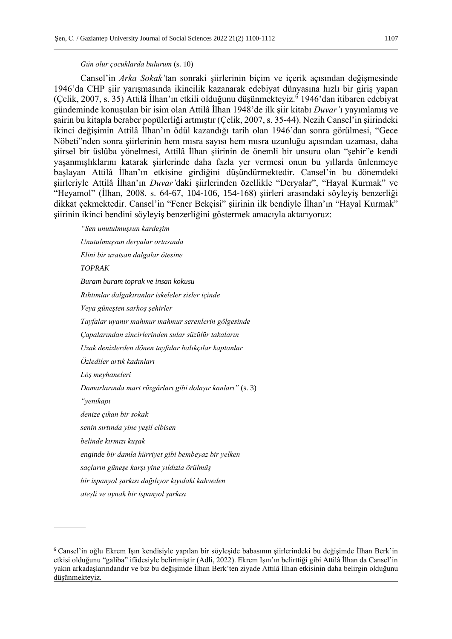#### *Gün olur çocuklarda bulurum* (s. 10)

Cansel'in *Arka Sokak'*tan sonraki şiirlerinin biçim ve içerik açısından değişmesinde 1946'da CHP şiir yarışmasında ikincilik kazanarak edebiyat dünyasına hızlı bir giriş yapan (Çelik, 2007, s. 35) Attilâ İlhan'ın etkili olduğunu düşünmekteyiz.<sup>6</sup> 1946'dan itibaren edebiyat gündeminde konuşulan bir isim olan Attilâ İlhan 1948'de ilk şiir kitabı *Duvar'*ı yayımlamış ve şairin bu kitapla beraber popülerliği artmıştır (Çelik, 2007, s. 35-44). Nezih Cansel'in şiirindeki ikinci değişimin Attilâ İlhan'ın ödül kazandığı tarih olan 1946'dan sonra görülmesi, "Gece Nöbeti"nden sonra şiirlerinin hem mısra sayısı hem mısra uzunluğu açısından uzaması, daha şiirsel bir üslûba yönelmesi, Attilâ İlhan şiirinin de önemli bir unsuru olan "şehir"e kendi yaşanmışlıklarını katarak şiirlerinde daha fazla yer vermesi onun bu yıllarda ünlenmeye başlayan Attilâ İlhan'ın etkisine girdiğini düşündürmektedir. Cansel'in bu dönemdeki şiirleriyle Attilâ İlhan'ın *Duvar'*daki şiirlerinden özellikle "Deryalar", "Hayal Kurmak" ve "Heyamol" (İlhan, 2008, s. 64-67, 104-106, 154-168) şiirleri arasındaki söyleyiş benzerliği dikkat çekmektedir. Cansel'in "Fener Bekçisi" şiirinin ilk bendiyle İlhan'ın "Hayal Kurmak" şiirinin ikinci bendini söyleyiş benzerliğini göstermek amacıyla aktarıyoruz:

*"Sen unutulmuşsun kardeşim Unutulmuşsun deryalar ortasında Elini bir uzatsan dalgalar ötesine TOPRAK Buram buram toprak ve insan kokusu Rıhtımlar dalgakıranlar iskeleler sisler içinde Veya güneşten sarhoş şehirler Tayfalar uyanır mahmur mahmur serenlerin gölgesinde Çapalarından zincirlerinden sular süzülür takaların Uzak denizlerden dönen tayfalar balıkçılar kaptanlar Özlediler artık kadınları Lôş meyhaneleri Damarlarında mart rüzgârları gibi dolaşır kanları"* (s. 3) *"yenikapı denize çıkan bir sokak senin sırtında yine yeşil elbisen belinde kırmızı kuşak enginde bir damla hürriyet gibi bembeyaz bir yelken saçların güneşe karşı yine yıldızla örülmüş bir ispanyol şarkısı dağılıyor kıyıdaki kahveden*

*ateşli ve oynak bir ispanyol şarkısı*

<sup>6</sup> Cansel'in oğlu Ekrem Işın kendisiyle yapılan bir söyleşide babasının şiirlerindeki bu değişimde İlhan Berk'in etkisi olduğunu "galiba" ifâdesiyle belirtmiştir (Adli, 2022). Ekrem Işın'ın belirttiği gibi Attilâ İlhan da Cansel'in yakın arkadaşlarındandır ve biz bu değişimde İlhan Berk'ten ziyade Attilâ İlhan etkisinin daha belirgin olduğunu düşünmekteyiz.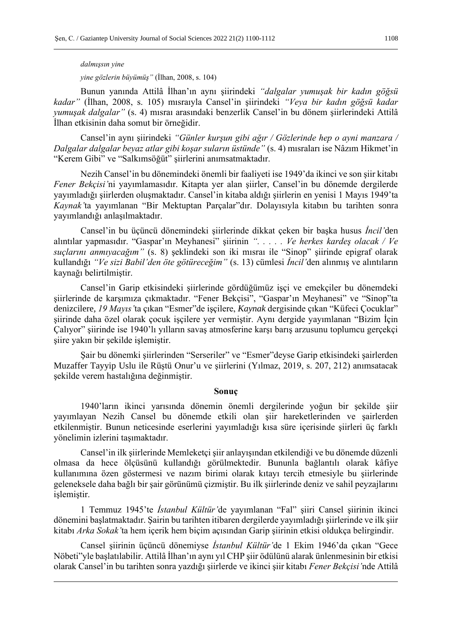## *dalmışsın yine*

*yine gözlerin büyümüş"* (İlhan, 2008, s. 104)

Bunun yanında Attilâ İlhan'ın aynı şiirindeki *"dalgalar yumuşak bir kadın göğsü kadar"* (İlhan, 2008, s. 105) mısraıyla Cansel'in şiirindeki *"Veya bir kadın göğsü kadar yumuşak dalgalar"* (s. 4) mısraı arasındaki benzerlik Cansel'in bu dönem şiirlerindeki Attilâ İlhan etkisinin daha somut bir örneğidir.

Cansel'in aynı şiirindeki *"Günler kurşun gibi ağır / Gözlerinde hep o ayni manzara / Dalgalar dalgalar beyaz atlar gibi koşar suların üstünde"* (s. 4) mısraları ise Nâzım Hikmet'in "Kerem Gibi" ve "Salkımsöğüt" şiirlerini anımsatmaktadır.

Nezih Cansel'in bu dönemindeki önemli bir faaliyeti ise 1949'da ikinci ve son şiir kitabı *Fener Bekçisi'*ni yayımlamasıdır. Kitapta yer alan şiirler, Cansel'in bu dönemde dergilerde yayımladığı şiirlerden oluşmaktadır. Cansel'in kitaba aldığı şiirlerin en yenisi 1 Mayıs 1949'ta *Kaynak'*ta yayımlanan "Bir Mektuptan Parçalar"dır. Dolayısıyla kitabın bu tarihten sonra yayımlandığı anlaşılmaktadır.

Cansel'in bu üçüncü dönemindeki şiirlerinde dikkat çeken bir başka husus *İncil'*den alıntılar yapmasıdır. "Gaspar'ın Meyhanesi" şiirinin *". . . . . Ve herkes kardeş olacak / Ve suçlarını anmıyacağım"* (s. 8) şeklindeki son iki mısraı ile "Sinop" şiirinde epigraf olarak kullandığı *"Ve sizi Babil'den öte götüreceğim"* (s. 13) cümlesi *İncil'*den alınmış ve alıntıların kaynağı belirtilmiştir.

Cansel'in Garip etkisindeki şiirlerinde gördüğümüz işçi ve emekçiler bu dönemdeki şiirlerinde de karşımıza çıkmaktadır. "Fener Bekçisi", "Gaspar'ın Meyhanesi" ve "Sinop"ta denizcilere, *19 Mayıs'*ta çıkan "Esmer"de işçilere, *Kaynak* dergisinde çıkan "Küfeci Çocuklar" şiirinde daha özel olarak çocuk işçilere yer vermiştir. Aynı dergide yayımlanan "Bizim İçin Çalıyor" şiirinde ise 1940'lı yılların savaş atmosferine karşı barış arzusunu toplumcu gerçekçi şiire yakın bir şekilde işlemiştir.

Şair bu dönemki şiirlerinden "Serseriler" ve "Esmer"deyse Garip etkisindeki şairlerden Muzaffer Tayyip Uslu ile Rüştü Onur'u ve şiirlerini (Yılmaz, 2019, s. 207, 212) anımsatacak şekilde verem hastalığına değinmiştir.

#### **Sonuç**

1940'ların ikinci yarısında dönemin önemli dergilerinde yoğun bir şekilde şiir yayımlayan Nezih Cansel bu dönemde etkili olan şiir hareketlerinden ve şairlerden etkilenmiştir. Bunun neticesinde eserlerini yayımladığı kısa süre içerisinde şiirleri üç farklı yönelimin izlerini taşımaktadır.

Cansel'in ilk şiirlerinde Memleketçi şiir anlayışından etkilendiği ve bu dönemde düzenli olmasa da hece ölçüsünü kullandığı görülmektedir. Bununla bağlantılı olarak kâfiye kullanımına özen göstermesi ve nazım birimi olarak kıtayı tercih etmesiyle bu şiirlerinde geleneksele daha bağlı bir şair görünümü çizmiştir. Bu ilk şiirlerinde deniz ve sahil peyzajlarını işlemiştir.

1 Temmuz 1945'te *İstanbul Kültür'*de yayımlanan "Fal" şiiri Cansel şiirinin ikinci dönemini başlatmaktadır. Şairin bu tarihten itibaren dergilerde yayımladığı şiirlerinde ve ilk şiir kitabı *Arka Sokak'*ta hem içerik hem biçim açısından Garip şiirinin etkisi oldukça belirgindir.

Cansel şiirinin üçüncü dönemiyse *İstanbul Kültür'*de 1 Ekim 1946'da çıkan "Gece Nöbeti"yle başlatılabilir. Attilâ İlhan'ın aynı yıl CHP şiir ödülünü alarak ünlenmesinin bir etkisi olarak Cansel'in bu tarihten sonra yazdığı şiirlerde ve ikinci şiir kitabı *Fener Bekçisi'*nde Attilâ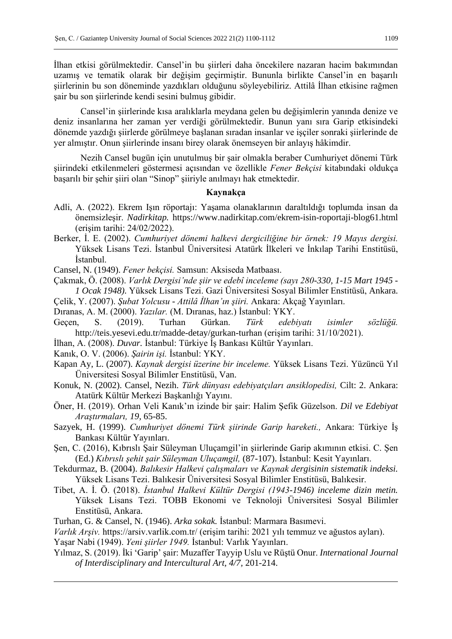İlhan etkisi görülmektedir. Cansel'in bu şiirleri daha öncekilere nazaran hacim bakımından uzamış ve tematik olarak bir değişim geçirmiştir. Bununla birlikte Cansel'in en başarılı şiirlerinin bu son döneminde yazdıkları olduğunu söyleyebiliriz. Attilâ İlhan etkisine rağmen şair bu son şiirlerinde kendi sesini bulmuş gibidir.

Cansel'in şiirlerinde kısa aralıklarla meydana gelen bu değişimlerin yanında denize ve deniz insanlarına her zaman yer verdiği görülmektedir. Bunun yanı sıra Garip etkisindeki dönemde yazdığı şiirlerde görülmeye başlanan sıradan insanlar ve işçiler sonraki şiirlerinde de yer almıştır. Onun şiirlerinde insanı birey olarak önemseyen bir anlayış hâkimdir.

Nezih Cansel bugün için unutulmuş bir şair olmakla beraber Cumhuriyet dönemi Türk şiirindeki etkilenmeleri göstermesi açısından ve özellikle *Fener Bekçisi* kitabındaki oldukça başarılı bir şehir şiiri olan "Sinop" şiiriyle anılmayı hak etmektedir.

## **Kaynakça**

- Adli, A. (2022). Ekrem Işın röportajı: Yaşama olanaklarının daraltıldığı toplumda insan da önemsizleşir. *Nadirkitap.* https://www.nadirkitap.com/ekrem-isin-roportaji-blog61.html (erişim tarihi: 24/02/2022).
- Berker, İ. E. (2002). *Cumhuriyet dönemi halkevi dergiciliğine bir örnek: 19 Mayıs dergisi.*  Yüksek Lisans Tezi. İstanbul Üniversitesi Atatürk İlkeleri ve İnkılap Tarihi Enstitüsü, İstanbul.
- Cansel, N. (1949). *Fener bekçisi.* Samsun: Aksiseda Matbaası.
- Çakmak, Ö. (2008). *Varlık Dergisi'nde şiir ve edebî inceleme (sayı 280-330, 1-15 Mart 1945 - 1 Ocak 1948).* Yüksek Lisans Tezi. Gazi Üniversitesi Sosyal Bilimler Enstitüsü, Ankara.
- Çelik, Y. (2007). *Şubat Yolcusu - Attilâ İlhan'ın şiiri.* Ankara: Akçağ Yayınları.
- Dıranas, A. M. (2000). *Yazılar.* (M. Dıranas, haz.) İstanbul: YKY.
- Geçen, S. (2019). Turhan Gürkan. *Türk edebiyatı isimler sözlüğü.*  http://teis.yesevi.edu.tr/madde-detay/gurkan-turhan (erişim tarihi: 31/10/2021).
- İlhan, A. (2008). *Duvar.* İstanbul: Türkiye İş Bankası Kültür Yayınları.
- Kanık, O. V. (2006). *Şairin işi.* İstanbul: YKY.
- Kapan Ay, L. (2007). *Kaynak dergisi üzerine bir inceleme.* Yüksek Lisans Tezi. Yüzüncü Yıl Üniversitesi Sosyal Bilimler Enstitüsü, Van.
- Konuk, N. (2002). Cansel, Nezih. *Türk dünyası edebiyatçıları ansiklopedisi,* Cilt: 2. Ankara: Atatürk Kültür Merkezi Başkanlığı Yayını.
- Öner, H. (2019). Orhan Veli Kanık'ın izinde bir şair: Halim Şefik Güzelson. *Dil ve Edebiyat Araştırmaları, 19,* 65-85.
- Sazyek, H. (1999). *Cumhuriyet dönemi Türk şiirinde Garip hareketi.,* Ankara: Türkiye İş Bankası Kültür Yayınları.
- Şen, C. (2016), Kıbrıslı Şair Süleyman Uluçamgil'in şiirlerinde Garip akımının etkisi. C. Şen (Ed.) *Kıbrıslı şehit şair Süleyman Uluçamgil,* (87-107). İstanbul: Kesit Yayınları.
- Tekdurmaz, B. (2004). *Balıkesir Halkevi çalışmaları ve Kaynak dergisinin sistematik indeksi.* Yüksek Lisans Tezi. Balıkesir Üniversitesi Sosyal Bilimler Enstitüsü, Balıkesir.
- Tibet, A. İ. Ö. (2018). *İstanbul Halkevi Kültür Dergisi (1943-1946) inceleme dizin metin.*  Yüksek Lisans Tezi. TOBB Ekonomi ve Teknoloji Üniversitesi Sosyal Bilimler Enstitüsü, Ankara.
- Turhan, G. & Cansel, N. (1946). *Arka sokak.* İstanbul: Marmara Basımevi.
- *Varlık Arşiv.* https://arsiv.varlik.com.tr/ (erişim tarihi: 2021 yılı temmuz ve ağustos ayları). Yaşar Nabi (1949). *Yeni şiirler 1949.* İstanbul: Varlık Yayınları.
- Yılmaz, S. (2019). İki 'Garip' şair: Muzaffer Tayyip Uslu ve Rüştü Onur. *International Journal of Interdisciplinary and Intercultural Art, 4/7,* 201-214.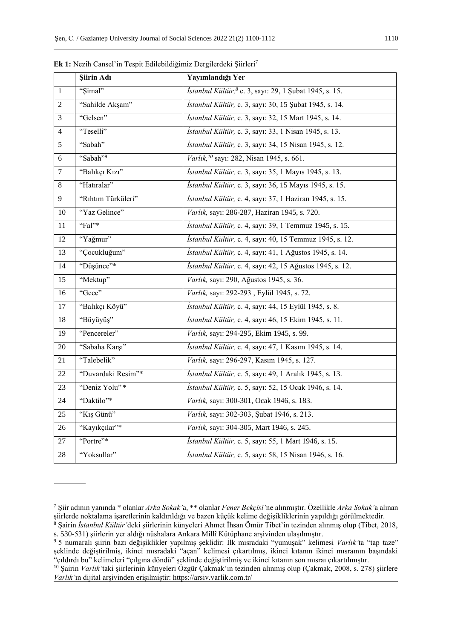|                 | Siirin Adı           | Yayımlandığı Yer                                                           |
|-----------------|----------------------|----------------------------------------------------------------------------|
| $\mathbf{1}$    | "Simal"              | <i>İstanbul Kültür</i> , <sup>8</sup> c. 3, sayı: 29, 1 Şubat 1945, s. 15. |
| $\overline{2}$  | "Sahilde Akşam"      | İstanbul Kültür, c. 3, sayı: 30, 15 Şubat 1945, s. 14.                     |
| 3               | "Gelsen"             | İstanbul Kültür, c. 3, sayı: 32, 15 Mart 1945, s. 14.                      |
| $\overline{4}$  | "Teselli"            | İstanbul Kültür, c. 3, sayı: 33, 1 Nisan 1945, s. 13.                      |
| 5               | "Sabah"              | İstanbul Kültür, c. 3, sayı: 34, 15 Nisan 1945, s. 12.                     |
| 6               | "Sabah" <sup>9</sup> | Varlık, <sup>10</sup> sayı: 282, Nisan 1945, s. 661.                       |
| $\overline{7}$  | "Balıkçı Kızı"       | İstanbul Kültür, c. 3, sayı: 35, 1 Mayıs 1945, s. 13.                      |
| $8\phantom{.}$  | "Hatıralar"          | İstanbul Kültür, c. 3, sayı: 36, 15 Mayıs 1945, s. 15.                     |
| 9               | "Rıhtım Türküleri"   | İstanbul Kültür, c. 4, sayı: 37, 1 Haziran 1945, s. 15.                    |
| 10              | "Yaz Gelince"        | Varlık, sayı: 286-287, Haziran 1945, s. 720.                               |
| $11\,$          | "Fal"*               | İstanbul Kültür, c. 4, sayı: 39, 1 Temmuz 1945, s. 15.                     |
| 12              | "Yağmur"             | İstanbul Kültür, c. 4, sayı: 40, 15 Temmuz 1945, s. 12.                    |
| 13              | "Çocukluğum"         | İstanbul Kültür, c. 4, sayı: 41, 1 Ağustos 1945, s. 14.                    |
| 14              | "Düşünce"*           | İstanbul Kültür, c. 4, sayı: 42, 15 Ağustos 1945, s. 12.                   |
| 15              | "Mektup"             | Varlık, sayı: 290, Ağustos 1945, s. 36.                                    |
| 16              | "Gece"               | Varlık, sayı: 292-293, Eylül 1945, s. 72.                                  |
| 17              | "Balıkçı Köyü"       | İstanbul Kültür, c. 4, sayı: 44, 15 Eylül 1945, s. 8.                      |
| 18              | "Büyüyüş"            | İstanbul Kültür, c. 4, sayı: 46, 15 Ekim 1945, s. 11.                      |
| 19              | "Pencereler"         | Varlık, sayı: 294-295, Ekim 1945, s. 99.                                   |
| $\overline{20}$ | "Sabaha Karşı"       | İstanbul Kültür, c. 4, sayı: 47, 1 Kasım 1945, s. 14.                      |
| 21              | "Talebelik"          | Varlık, sayı: 296-297, Kasım 1945, s. 127.                                 |
| 22              | "Duvardaki Resim"*   | İstanbul Kültür, c. 5, sayı: 49, 1 Aralık 1945, s. 13.                     |
| 23              | "Deniz Yolu"*        | İstanbul Kültür, c. 5, sayı: 52, 15 Ocak 1946, s. 14.                      |
| 24              | "Daktilo"*           | Varlık, sayı: 300-301, Ocak 1946, s. 183.                                  |
| 25              | "Kış Günü"           | Varlık, sayı: 302-303, Şubat 1946, s. 213.                                 |
| 26              | "Kayıkçılar"*        | Varlık, sayı: 304-305, Mart 1946, s. 245.                                  |
| 27              | "Portre"*            | İstanbul Kültür, c. 5, sayı: 55, 1 Mart 1946, s. 15.                       |
| $28\,$          | "Yoksullar"          | İstanbul Kültür, c. 5, sayı: 58, 15 Nisan 1946, s. 16.                     |

**Ek 1:** Nezih Cansel'in Tespit Edilebildiğimiz Dergilerdeki Şiirleri<sup>7</sup>

 Şiir adının yanında \* olanlar *Arka Sokak'*a, \*\* olanlar *Fener Bekçisi'*ne alınmıştır. Özellikle *Arka Sokak'*a alınan şiirlerde noktalama işaretlerinin kaldırıldığı ve bazen küçük kelime değişikliklerinin yapıldığı görülmektedir.

 Şairin *İstanbul Kültür'*deki şiirlerinin künyeleri Ahmet İhsan Ömür Tibet'in tezinden alınmış olup (Tibet, 2018, s. 530-531) şiirlerin yer aldığı nüshalara Ankara Millî Kütüphane arşivinden ulaşılmıştır.

 5 numaralı şiirin bazı değişiklikler yapılmış şeklidir: İlk mısradaki "yumuşak" kelimesi *Varlık'*ta "tap taze" şeklinde değiştirilmiş, ikinci mısradaki "açan" kelimesi çıkartılmış, ikinci kıtanın ikinci mısraının başındaki "çıldırdı bu" kelimeleri "çılgına döndü" şeklinde değiştirilmiş ve ikinci kıtanın son mısraı çıkartılmıştır.

 Şairin *Varlık'*taki şiirlerinin künyeleri Özgür Çakmak'ın tezinden alınmış olup (Çakmak, 2008, s. 278) şiirlere *Varlık'*ın dijital arşivinden erişilmiştir: https://arsiv.varlik.com.tr/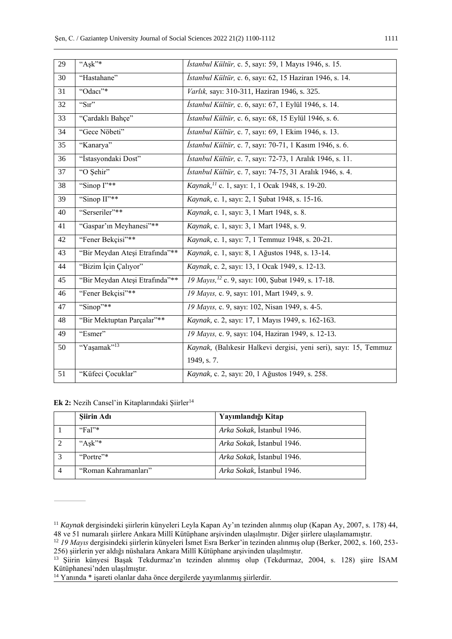| 29 | $A$ sk"*                       | İstanbul Kültür, c. 5, sayı: 59, 1 Mayıs 1946, s. 15.            |
|----|--------------------------------|------------------------------------------------------------------|
| 30 | "Hastahane"                    | İstanbul Kültür, c. 6, sayı: 62, 15 Haziran 1946, s. 14.         |
| 31 | "Odacı"*                       | Varlık, sayı: 310-311, Haziran 1946, s. 325.                     |
| 32 | " $\overline{\text{S1r}}$ "    | İstanbul Kültür, c. 6, sayı: 67, 1 Eylül 1946, s. 14.            |
| 33 | "Cardaklı Bahçe"               | İstanbul Kültür, c. 6, sayı: 68, 15 Eylül 1946, s. 6.            |
| 34 | "Gece Nöbeti"                  | İstanbul Kültür, c. 7, sayı: 69, 1 Ekim 1946, s. 13.             |
| 35 | "Kanarya"                      | İstanbul Kültür, c. 7, sayı: 70-71, 1 Kasım 1946, s. 6.          |
| 36 | "İstasyondaki Dost"            | İstanbul Kültür, c. 7, sayı: 72-73, 1 Aralık 1946, s. 11.        |
| 37 | "O Şehir"                      | İstanbul Kültür, c. 7, sayı: 74-75, 31 Aralık 1946, s. 4.        |
| 38 | "Sinop I"**                    | Kaynak, <sup>11</sup> c. 1, sayı: 1, 1 Ocak 1948, s. 19-20.      |
| 39 | "Sinop II"**                   | Kaynak, c. 1, sayı: 2, 1 Şubat 1948, s. 15-16.                   |
| 40 | "Serseriler"**                 | Kaynak, c. 1, sayı: 3, 1 Mart 1948, s. 8.                        |
| 41 | "Gaspar'ın Meyhanesi"**        | Kaynak, c. 1, sayı: 3, 1 Mart 1948, s. 9.                        |
| 42 | "Fener Bekçisi"**              | Kaynak, c. 1, sayı: 7, 1 Temmuz 1948, s. 20-21.                  |
| 43 | "Bir Meydan Ateşi Etrafında"** | Kaynak, c. 1, sayı: 8, 1 Ağustos 1948, s. 13-14.                 |
| 44 | "Bizim İçin Çalıyor"           | Kaynak, c. 2, sayı: 13, 1 Ocak 1949, s. 12-13.                   |
| 45 | "Bir Meydan Ateşi Etrafında"** | 19 Mayıs, <sup>12</sup> c. 9, sayı: 100, Şubat 1949, s. 17-18.   |
| 46 | "Fener Bekçisi"**              | 19 Mayıs, c. 9, sayı: 101, Mart 1949, s. 9.                      |
| 47 | "Sinop"**                      | 19 Mayıs, c. 9, sayı: 102, Nisan 1949, s. 4-5.                   |
| 48 | "Bir Mektuptan Parçalar"**     | Kaynak, c. 2, sayı: 17, 1 Mayıs 1949, s. 162-163.                |
| 49 | "Esmer"                        | 19 Mayıs, c. 9, sayı: 104, Haziran 1949, s. 12-13.               |
| 50 | "Yaşamak" <sup>13</sup>        | Kaynak, (Balıkesir Halkevi dergisi, yeni seri), sayı: 15, Temmuz |
|    |                                | 1949, s. 7.                                                      |
| 51 | "Küfeci Çocuklar"              | Kaynak, c. 2, sayı: 20, 1 Ağustos 1949, s. 258.                  |

Ek 2: Nezih Cansel'in Kitaplarındaki Şiirler<sup>14</sup>

| Şiirin Adı           | Yayımlandığı Kitap         |
|----------------------|----------------------------|
| "Fa"                 | Arka Sokak, Istanbul 1946. |
| " $Ask"^*$           | Arka Sokak, İstanbul 1946. |
| "Portre"*            | Arka Sokak, İstanbul 1946. |
| "Roman Kahramanları" | Arka Sokak, Istanbul 1946. |

 *Kaynak* dergisindeki şiirlerin künyeleri Leyla Kapan Ay'ın tezinden alınmış olup (Kapan Ay, 2007, s. 178) 44, 48 ve 51 numaralı şiirlere Ankara Millî Kütüphane arşivinden ulaşılmıştır. Diğer şiirlere ulaşılamamıştır.

 *19 Mayıs* dergisindeki şiirlerin künyeleri İsmet Esra Berker'in tezinden alınmış olup (Berker, 2002, s. 160, 253- 256) şiirlerin yer aldığı nüshalara Ankara Millî Kütüphane arşivinden ulaşılmıştır.

 Şiirin künyesi Başak Tekdurmaz'ın tezinden alınmış olup (Tekdurmaz, 2004, s. 128) şiire İSAM Kütüphanesi'nden ulaşılmıştır.

Yanında \* işareti olanlar daha önce dergilerde yayımlanmış şiirlerdir.